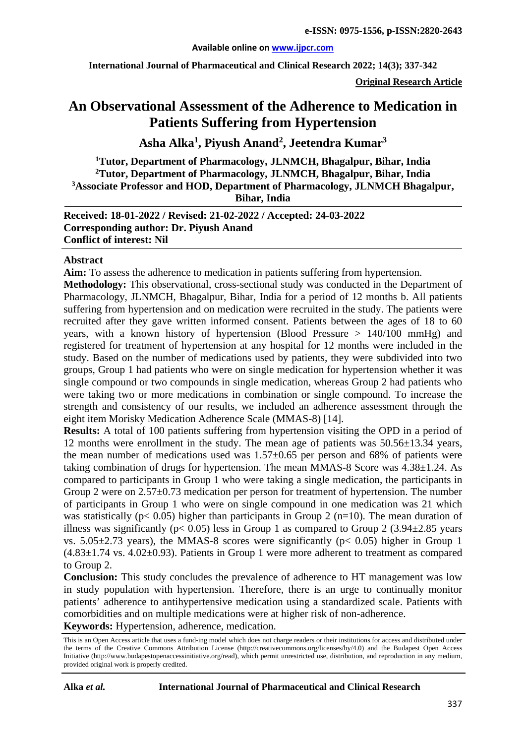#### **Available online on [www.ijpcr.com](http://www.ijpcr.com/)**

**International Journal of Pharmaceutical and Clinical Research 2022; 14(3); 337-342**

**Original Research Article**

# **An Observational Assessment of the Adherence to Medication in Patients Suffering from Hypertension**

**Asha Alka<sup>1</sup> , Piyush Anand<sup>2</sup> , Jeetendra Kumar3**

**1Tutor, Department of Pharmacology, JLNMCH, Bhagalpur, Bihar, India 2Tutor, Department of Pharmacology, JLNMCH, Bhagalpur, Bihar, India 3Associate Professor and HOD, Department of Pharmacology, JLNMCH Bhagalpur, Bihar, India**

**Received: 18-01-2022 / Revised: 21-02-2022 / Accepted: 24-03-2022 Corresponding author: Dr. Piyush Anand Conflict of interest: Nil**

#### **Abstract**

**Aim:** To assess the adherence to medication in patients suffering from hypertension.

**Methodology:** This observational, cross-sectional study was conducted in the Department of Pharmacology, JLNMCH, Bhagalpur, Bihar, India for a period of 12 months b. All patients suffering from hypertension and on medication were recruited in the study. The patients were recruited after they gave written informed consent. Patients between the ages of 18 to 60 years, with a known history of hypertension (Blood Pressure > 140/100 mmHg) and registered for treatment of hypertension at any hospital for 12 months were included in the study. Based on the number of medications used by patients, they were subdivided into two groups, Group 1 had patients who were on single medication for hypertension whether it was single compound or two compounds in single medication, whereas Group 2 had patients who were taking two or more medications in combination or single compound. To increase the strength and consistency of our results, we included an adherence assessment through the eight item Morisky Medication Adherence Scale (MMAS-8) [14].

**Results:** A total of 100 patients suffering from hypertension visiting the OPD in a period of 12 months were enrollment in the study. The mean age of patients was 50.56±13.34 years, the mean number of medications used was  $1.57\pm0.65$  per person and 68% of patients were taking combination of drugs for hypertension. The mean MMAS-8 Score was 4.38±1.24. As compared to participants in Group 1 who were taking a single medication, the participants in Group 2 were on 2.57±0.73 medication per person for treatment of hypertension. The number of participants in Group 1 who were on single compound in one medication was 21 which was statistically ( $p < 0.05$ ) higher than participants in Group 2 ( $n=10$ ). The mean duration of illness was significantly ( $p < 0.05$ ) less in Group 1 as compared to Group 2 (3.94 $\pm$ 2.85 years vs.  $5.05\pm2.73$  years), the MMAS-8 scores were significantly ( $p < 0.05$ ) higher in Group 1  $(4.83\pm1.74 \text{ vs. } 4.02\pm0.93)$ . Patients in Group 1 were more adherent to treatment as compared to Group 2.

**Conclusion:** This study concludes the prevalence of adherence to HT management was low in study population with hypertension. Therefore, there is an urge to continually monitor patients' adherence to antihypertensive medication using a standardized scale. Patients with comorbidities and on multiple medications were at higher risk of non-adherence.

**Keywords:** Hypertension, adherence, medication.

This is an Open Access article that uses a fund-ing model which does not charge readers or their institutions for access and distributed under the terms of the Creative Commons Attribution License (http://creativecommons.org/licenses/by/4.0) and the Budapest Open Access Initiative (http://www.budapestopenaccessinitiative.org/read), which permit unrestricted use, distribution, and reproduction in any medium, provided original work is properly credited.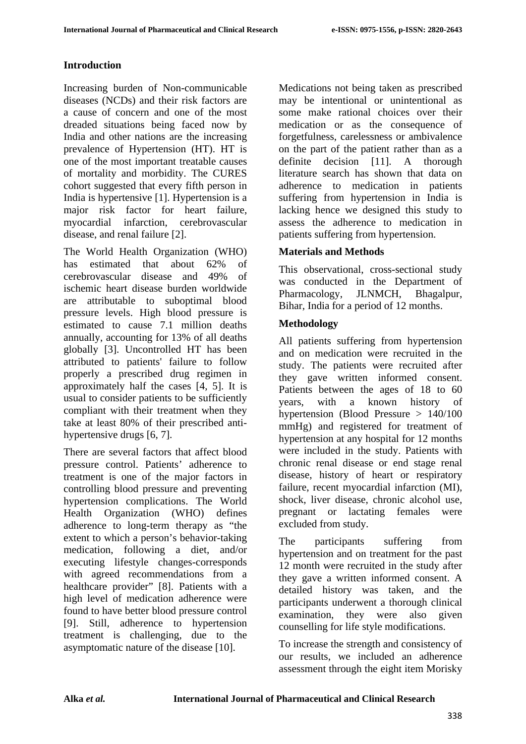# **Introduction**

Increasing burden of Non-communicable diseases (NCDs) and their risk factors are a cause of concern and one of the most dreaded situations being faced now by India and other nations are the increasing prevalence of Hypertension (HT). HT is one of the most important treatable causes of mortality and morbidity. The CURES cohort suggested that every fifth person in India is hypertensive [1]. Hypertension is a major risk factor for heart failure, myocardial infarction, cerebrovascular disease, and renal failure [2].

The World Health Organization (WHO) has estimated that about 62% of cerebrovascular disease and 49% of ischemic heart disease burden worldwide are attributable to suboptimal blood pressure levels. High blood pressure is estimated to cause 7.1 million deaths annually, accounting for 13% of all deaths globally [3]. Uncontrolled HT has been attributed to patients' failure to follow properly a prescribed drug regimen in approximately half the cases [4, 5]. It is usual to consider patients to be sufficiently compliant with their treatment when they take at least 80% of their prescribed antihypertensive drugs [6, 7].

There are several factors that affect blood pressure control. Patients' adherence to treatment is one of the major factors in controlling blood pressure and preventing hypertension complications. The World Health Organization (WHO) defines adherence to long-term therapy as "the extent to which a person's behavior-taking medication, following a diet, and/or executing lifestyle changes-corresponds with agreed recommendations from a healthcare provider" [8]. Patients with a high level of medication adherence were found to have better blood pressure control [9]. Still, adherence to hypertension treatment is challenging, due to the asymptomatic nature of the disease [10].

Medications not being taken as prescribed may be intentional or unintentional as some make rational choices over their medication or as the consequence of forgetfulness, carelessness or ambivalence on the part of the patient rather than as a definite decision [11]. A thorough literature search has shown that data on adherence to medication in patients suffering from hypertension in India is lacking hence we designed this study to assess the adherence to medication in patients suffering from hypertension.

# **Materials and Methods**

This observational, cross-sectional study was conducted in the Department of Pharmacology, JLNMCH, Bhagalpur, Bihar, India for a period of 12 months.

### **Methodology**

All patients suffering from hypertension and on medication were recruited in the study. The patients were recruited after they gave written informed consent. Patients between the ages of 18 to 60 years, with a known history of hypertension (Blood Pressure > 140/100 mmHg) and registered for treatment of hypertension at any hospital for 12 months were included in the study. Patients with chronic renal disease or end stage renal disease, history of heart or respiratory failure, recent myocardial infarction (MI), shock, liver disease, chronic alcohol use, pregnant or lactating females were excluded from study.

The participants suffering from hypertension and on treatment for the past 12 month were recruited in the study after they gave a written informed consent. A detailed history was taken, and the participants underwent a thorough clinical examination, they were also given counselling for life style modifications.

To increase the strength and consistency of our results, we included an adherence assessment through the eight item Morisky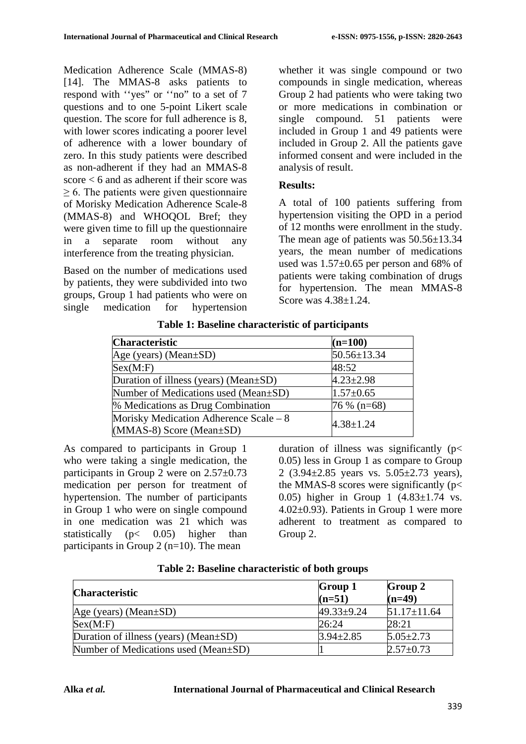Medication Adherence Scale (MMAS-8) [14]. The MMAS-8 asks patients to respond with ''yes" or ''no" to a set of 7 questions and to one 5-point Likert scale question. The score for full adherence is 8, with lower scores indicating a poorer level of adherence with a lower boundary of zero. In this study patients were described as non-adherent if they had an MMAS-8 score < 6 and as adherent if their score was ≥ 6. The patients were given questionnaire of Morisky Medication Adherence Scale-8 (MMAS-8) and WHOQOL Bref; they were given time to fill up the questionnaire in a separate room without any interference from the treating physician.

Based on the number of medications used by patients, they were subdivided into two groups, Group 1 had patients who were on single medication for hypertension whether it was single compound or two compounds in single medication, whereas Group 2 had patients who were taking two or more medications in combination or single compound. 51 patients were included in Group 1 and 49 patients were included in Group 2. All the patients gave informed consent and were included in the analysis of result.

#### **Results:**

A total of 100 patients suffering from hypertension visiting the OPD in a period of 12 months were enrollment in the study. The mean age of patients was  $50.56 \pm 13.34$ years, the mean number of medications used was 1.57±0.65 per person and 68% of patients were taking combination of drugs for hypertension. The mean MMAS-8 Score was 4.38<sup>+1</sup>.24

| <b>Characteristic</b>                  | $(n=100)$       |  |
|----------------------------------------|-----------------|--|
| Age (years) (Mean $\pm SD$ )           | 50.56±13.34     |  |
| Sex(M: F)                              | 48:52           |  |
| Duration of illness (years) (Mean±SD)  | $4.23 \pm 2.98$ |  |
| Number of Medications used (Mean±SD)   | $1.57 \pm 0.65$ |  |
| % Medications as Drug Combination      | $76\%$ (n=68)   |  |
| Morisky Medication Adherence Scale – 8 | $4.38 \pm 1.24$ |  |
| $(MMAS-8)$ Score (Mean $\pm SD$ )      |                 |  |

**Table 1: Baseline characteristic of participants**

As compared to participants in Group 1 who were taking a single medication, the participants in Group 2 were on 2.57±0.73 medication per person for treatment of hypertension. The number of participants in Group 1 who were on single compound in one medication was 21 which was statistically  $(p< 0.05)$  higher than participants in Group 2  $(n=10)$ . The mean

duration of illness was significantly (p< 0.05) less in Group 1 as compare to Group 2  $(3.94 \pm 2.85$  years vs.  $5.05 \pm 2.73$  years), the MMAS-8 scores were significantly ( $p$ < 0.05) higher in Group 1  $(4.83 \pm 1.74 \text{ vs.}$ 4.02±0.93). Patients in Group 1 were more adherent to treatment as compared to Group 2.

| <b>Characteristic</b>                 | <b>Group 1</b><br>$(n=51)$ | <b>Group 2</b><br>$(n=49)$ |
|---------------------------------------|----------------------------|----------------------------|
| Age (years) (Mean $\pm SD$ )          | $49.33 \pm 9.24$           | $51.17 \pm 11.64$          |
| Sex(M: F)                             | 26:24                      | 28:21                      |
| Duration of illness (years) (Mean±SD) | $3.94 \pm 2.85$            | $5.05 \pm 2.73$            |
| Number of Medications used (Mean±SD)  |                            | $2.57 \pm 0.73$            |

**Table 2: Baseline characteristic of both groups**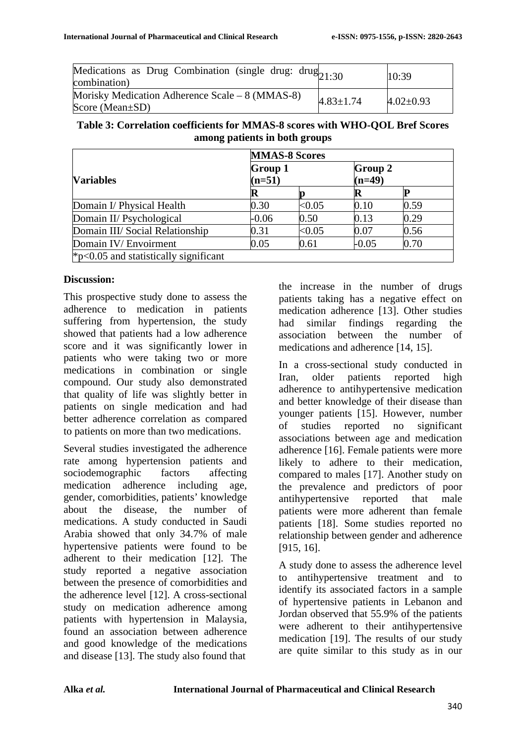| Medications as Drug Combination (single drug: $drug_{21:30}$<br>combination) |                 | 10:39           |
|------------------------------------------------------------------------------|-----------------|-----------------|
| Morisky Medication Adherence Scale – 8 (MMAS-8)<br>Score (Mean $\pm$ SD)     | $4.83 \pm 1.74$ | $4.02 \pm 0.93$ |

#### **Table 3: Correlation coefficients for MMAS-8 scores with WHO-QOL Bref Scores among patients in both groups**

|                                                | <b>MMAS-8 Scores</b>       |           |                            |      |
|------------------------------------------------|----------------------------|-----------|----------------------------|------|
| <b>Variables</b>                               | <b>Group 1</b><br>$(n=51)$ |           | <b>Group 2</b><br>$(n=49)$ |      |
|                                                |                            |           |                            |      |
| Domain I/ Physical Health                      | 0.30                       | ${<}0.05$ | 0.10                       | 0.59 |
| Domain II/ Psychological                       | $-0.06$                    | 0.50      | 0.13                       | 0.29 |
| Domain III/ Social Relationship                | 0.31                       | ${<}0.05$ | 0.07                       | 0.56 |
| Domain IV/Envoirment                           | 0.05                       | 0.61      | $-0.05$                    | 0.70 |
| $\approx$ p<0.05 and statistically significant |                            |           |                            |      |

### **Discussion:**

This prospective study done to assess the adherence to medication in patients suffering from hypertension, the study showed that patients had a low adherence score and it was significantly lower in patients who were taking two or more medications in combination or single compound. Our study also demonstrated that quality of life was slightly better in patients on single medication and had better adherence correlation as compared to patients on more than two medications.

Several studies investigated the adherence rate among hypertension patients and sociodemographic factors affecting medication adherence including age, gender, comorbidities, patients' knowledge about the disease, the number of medications. A study conducted in Saudi Arabia showed that only 34.7% of male hypertensive patients were found to be adherent to their medication [12]. The study reported a negative association between the presence of comorbidities and the adherence level [12]. A cross-sectional study on medication adherence among patients with hypertension in Malaysia, found an association between adherence and good knowledge of the medications and disease [13]. The study also found that

the increase in the number of drugs patients taking has a negative effect on medication adherence [13]. Other studies had similar findings regarding the association between the number of medications and adherence [14, 15].

In a cross-sectional study conducted in Iran, older patients reported high adherence to antihypertensive medication and better knowledge of their disease than younger patients [15]. However, number of studies reported no significant associations between age and medication adherence [16]. Female patients were more likely to adhere to their medication, compared to males [17]. Another study on the prevalence and predictors of poor antihypertensive reported that male patients were more adherent than female patients [18]. Some studies reported no relationship between gender and adherence [915, 16].

A study done to assess the adherence level to antihypertensive treatment and to identify its associated factors in a sample of hypertensive patients in Lebanon and Jordan observed that 55.9% of the patients were adherent to their antihypertensive medication [19]. The results of our study are quite similar to this study as in our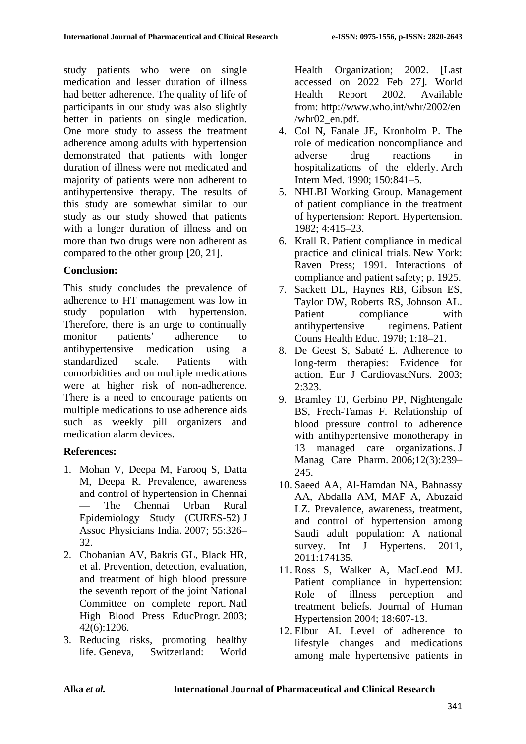study patients who were on single medication and lesser duration of illness had better adherence. The quality of life of participants in our study was also slightly better in patients on single medication. One more study to assess the treatment adherence among adults with hypertension demonstrated that patients with longer duration of illness were not medicated and majority of patients were non adherent to antihypertensive therapy. The results of this study are somewhat similar to our study as our study showed that patients with a longer duration of illness and on more than two drugs were non adherent as compared to the other group [20, 21].

### **Conclusion:**

This study concludes the prevalence of adherence to HT management was low in study population with hypertension. Therefore, there is an urge to continually monitor patients' adherence to antihypertensive medication using a standardized scale. Patients with comorbidities and on multiple medications were at higher risk of non-adherence. There is a need to encourage patients on multiple medications to use adherence aids such as weekly pill organizers and medication alarm devices.

### **References:**

- 1. Mohan V, Deepa M, Farooq S, Datta M, Deepa R. Prevalence, awareness and control of hypertension in Chennai — The Chennai Urban Rural Epidemiology Study (CURES-52) J Assoc Physicians India. 2007; 55:326– 32.
- 2. Chobanian AV, Bakris GL, Black HR, et al. Prevention, detection, evaluation, and treatment of high blood pressure the seventh report of the joint National Committee on complete report. Natl High Blood Press EducProgr. 2003; 42(6):1206.
- 3. Reducing risks, promoting healthy life. Geneva, Switzerland: World

Health Organization; 2002. [Last accessed on 2022 Feb 27]. World Health Report 2002. Available from: http://www.who.int/whr/2002/en /whr02\_en.pdf.

- 4. Col N, Fanale JE, Kronholm P. The role of medication noncompliance and adverse drug reactions in hospitalizations of the elderly. Arch Intern Med. 1990; 150:841–5.
- 5. NHLBI Working Group. Management of patient compliance in the treatment of hypertension: Report. Hypertension. 1982; 4:415–23.
- 6. Krall R. Patient compliance in medical practice and clinical trials. New York: Raven Press; 1991. Interactions of compliance and patient safety; p. 1925.
- 7. Sackett DL, Haynes RB, Gibson ES, Taylor DW, Roberts RS, Johnson AL. Patient compliance with antihypertensive regimens. Patient Couns Health Educ. 1978; 1:18–21.
- 8. De Geest S, Sabaté E. Adherence to long-term therapies: Evidence for action. Eur J CardiovascNurs. 2003; 2:323.
- 9. Bramley TJ, Gerbino PP, Nightengale BS, Frech-Tamas F. Relationship of blood pressure control to adherence with antihypertensive monotherapy in 13 managed care organizations. J Manag Care Pharm. 2006;12(3):239– 245.
- 10. Saeed AA, Al-Hamdan NA, Bahnassy AA, Abdalla AM, MAF A, Abuzaid LZ. Prevalence, awareness, treatment, and control of hypertension among Saudi adult population: A national survey. Int J Hypertens. 2011, 2011:174135.
- 11. Ross S, Walker A, MacLeod MJ. Patient compliance in hypertension: Role of illness perception and treatment beliefs. Journal of Human Hypertension 2004; 18:607-13.
- 12. Elbur AI. Level of adherence to lifestyle changes and medications among male hypertensive patients in